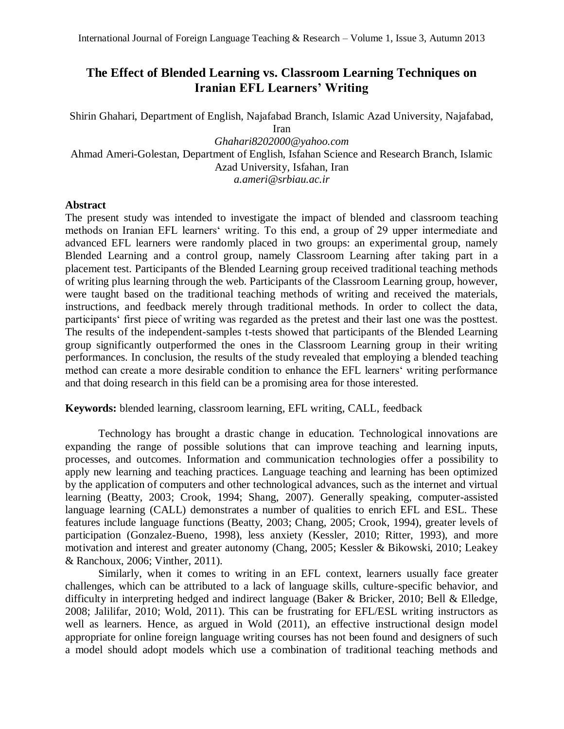# **The Effect of Blended Learning vs. Classroom Learning Techniques on Iranian EFL Learners' Writing**

Shirin Ghahari, Department of English, Najafabad Branch, Islamic Azad University, Najafabad, Iran *[Ghahari8202000@yahoo.com](mailto:Ghahari8202000@yahoo.com)* Ahmad Ameri-Golestan, Department of English, Isfahan Science and Research Branch, Islamic Azad University, Isfahan, Iran

*a.ameri@srbiau.ac.ir*

## **Abstract**

The present study was intended to investigate the impact of blended and classroom teaching methods on Iranian EFL learners' writing. To this end, a group of 29 upper intermediate and advanced EFL learners were randomly placed in two groups: an experimental group, namely Blended Learning and a control group, namely Classroom Learning after taking part in a placement test. Participants of the Blended Learning group received traditional teaching methods of writing plus learning through the web. Participants of the Classroom Learning group, however, were taught based on the traditional teaching methods of writing and received the materials, instructions, and feedback merely through traditional methods. In order to collect the data, participants' first piece of writing was regarded as the pretest and their last one was the posttest. The results of the independent-samples t-tests showed that participants of the Blended Learning group significantly outperformed the ones in the Classroom Learning group in their writing performances. In conclusion, the results of the study revealed that employing a blended teaching method can create a more desirable condition to enhance the EFL learners' writing performance and that doing research in this field can be a promising area for those interested.

## **Keywords:** blended learning, classroom learning, EFL writing, CALL, feedback

Technology has brought a drastic change in education. Technological innovations are expanding the range of possible solutions that can improve teaching and learning inputs, processes, and outcomes. Information and communication technologies offer a possibility to apply new learning and teaching practices. Language teaching and learning has been optimized by the application of computers and other technological advances, such as the internet and virtual learning (Beatty, 2003; Crook, 1994; Shang, 2007). Generally speaking, computer-assisted language learning (CALL) demonstrates a number of qualities to enrich EFL and ESL. These features include language functions (Beatty, 2003; Chang, 2005; Crook, 1994), greater levels of participation (Gonzalez-Bueno, 1998), less anxiety (Kessler, 2010; Ritter, 1993), and more motivation and interest and greater autonomy (Chang, 2005; Kessler & Bikowski, 2010; Leakey & Ranchoux, 2006; Vinther, 2011).

Similarly, when it comes to writing in an EFL context, learners usually face greater challenges, which can be attributed to a lack of language skills, culture-specific behavior, and difficulty in interpreting hedged and indirect language (Baker & Bricker, 2010; Bell & Elledge, 2008; Jalilifar, 2010; Wold, 2011). This can be frustrating for EFL/ESL writing instructors as well as learners. Hence, as argued in Wold (2011), an effective instructional design model appropriate for online foreign language writing courses has not been found and designers of such a model should adopt models which use a combination of traditional teaching methods and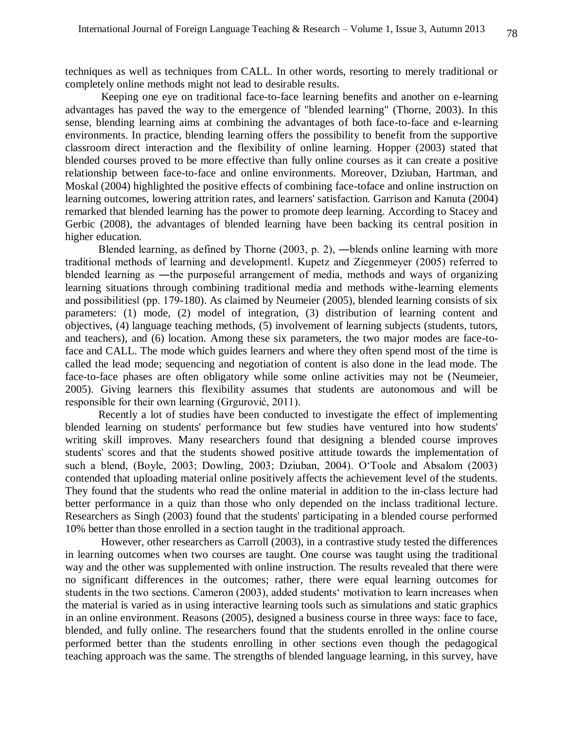techniques as well as techniques from CALL. In other words, resorting to merely traditional or completely online methods might not lead to desirable results.

Keeping one eye on traditional face-to-face learning benefits and another on e-learning advantages has paved the way to the emergence of "blended learning" (Thorne, 2003). In this sense, blending learning aims at combining the advantages of both face-to-face and e-learning environments. In practice, blending learning offers the possibility to benefit from the supportive classroom direct interaction and the flexibility of online learning. Hopper (2003) stated that blended courses proved to be more effective than fully online courses as it can create a positive relationship between face-to-face and online environments. Moreover, Dziuban, Hartman, and Moskal (2004) highlighted the positive effects of combining face-toface and online instruction on learning outcomes, lowering attrition rates, and learners' satisfaction. Garrison and Kanuta (2004) remarked that blended learning has the power to promote deep learning. According to Stacey and Gerbic (2008), the advantages of blended learning have been backing its central position in higher education.

Blended learning, as defined by Thorne (2003, p. 2), ―blends online learning with more traditional methods of learning and development‖. Kupetz and Ziegenmeyer (2005) referred to blended learning as ―the purposeful arrangement of media, methods and ways of organizing learning situations through combining traditional media and methods withe-learning elements and possibilities‖ (pp. 179-180). As claimed by Neumeier (2005), blended learning consists of six parameters: (1) mode, (2) model of integration, (3) distribution of learning content and objectives, (4) language teaching methods, (5) involvement of learning subjects (students, tutors, and teachers), and (6) location. Among these six parameters, the two major modes are face-toface and CALL. The mode which guides learners and where they often spend most of the time is called the lead mode; sequencing and negotiation of content is also done in the lead mode. The face-to-face phases are often obligatory while some online activities may not be (Neumeier, 2005). Giving learners this flexibility assumes that students are autonomous and will be responsible for their own learning (Grgurović, 2011).

Recently a lot of studies have been conducted to investigate the effect of implementing blended learning on students' performance but few studies have ventured into how students' writing skill improves. Many researchers found that designing a blended course improves students' scores and that the students showed positive attitude towards the implementation of such a blend, (Boyle, 2003; Dowling, 2003; Dziuban, 2004). O'Toole and Absalom (2003) contended that uploading material online positively affects the achievement level of the students. They found that the students who read the online material in addition to the in-class lecture had better performance in a quiz than those who only depended on the inclass traditional lecture. Researchers as Singh (2003) found that the students' participating in a blended course performed 10% better than those enrolled in a section taught in the traditional approach.

However, other researchers as Carroll (2003), in a contrastive study tested the differences in learning outcomes when two courses are taught. One course was taught using the traditional way and the other was supplemented with online instruction. The results revealed that there were no significant differences in the outcomes; rather, there were equal learning outcomes for students in the two sections. Cameron (2003), added students' motivation to learn increases when the material is varied as in using interactive learning tools such as simulations and static graphics in an online environment. Reasons (2005), designed a business course in three ways: face to face, blended, and fully online. The researchers found that the students enrolled in the online course performed better than the students enrolling in other sections even though the pedagogical teaching approach was the same. The strengths of blended language learning, in this survey, have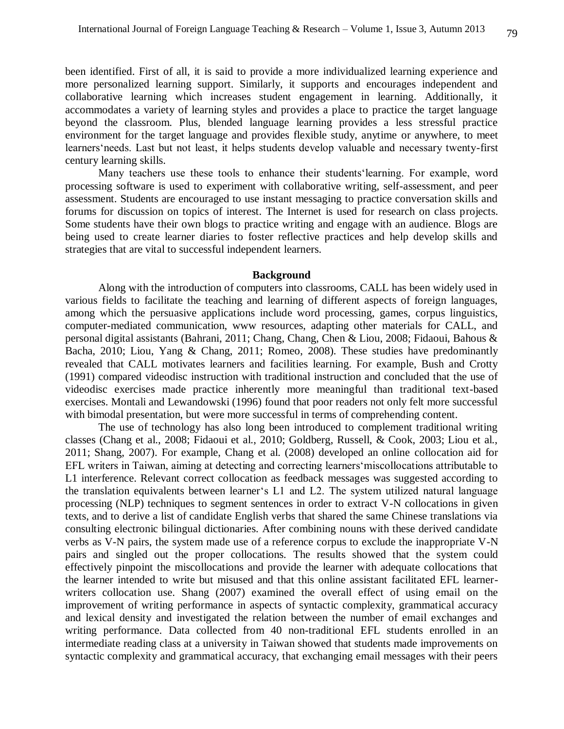been identified. First of all, it is said to provide a more individualized learning experience and more personalized learning support. Similarly, it supports and encourages independent and collaborative learning which increases student engagement in learning. Additionally, it accommodates a variety of learning styles and provides a place to practice the target language beyond the classroom. Plus, blended language learning provides a less stressful practice environment for the target language and provides flexible study, anytime or anywhere, to meet learners'needs. Last but not least, it helps students develop valuable and necessary twenty-first century learning skills.

Many teachers use these tools to enhance their students'learning. For example, word processing software is used to experiment with collaborative writing, self-assessment, and peer assessment. Students are encouraged to use instant messaging to practice conversation skills and forums for discussion on topics of interest. The Internet is used for research on class projects. Some students have their own blogs to practice writing and engage with an audience. Blogs are being used to create learner diaries to foster reflective practices and help develop skills and strategies that are vital to successful independent learners.

#### **Background**

Along with the introduction of computers into classrooms, CALL has been widely used in various fields to facilitate the teaching and learning of different aspects of foreign languages, among which the persuasive applications include word processing, games, corpus linguistics, computer-mediated communication, www resources, adapting other materials for CALL, and personal digital assistants (Bahrani, 2011; Chang, Chang, Chen & Liou, 2008; Fidaoui, Bahous & Bacha, 2010; Liou, Yang & Chang, 2011; Romeo, 2008). These studies have predominantly revealed that CALL motivates learners and facilities learning. For example, Bush and Crotty (1991) compared videodisc instruction with traditional instruction and concluded that the use of videodisc exercises made practice inherently more meaningful than traditional text-based exercises. Montali and Lewandowski (1996) found that poor readers not only felt more successful with bimodal presentation, but were more successful in terms of comprehending content.

The use of technology has also long been introduced to complement traditional writing classes (Chang et al., 2008; Fidaoui et al., 2010; Goldberg, Russell, & Cook, 2003; Liou et al., 2011; Shang, 2007). For example, Chang et al. (2008) developed an online collocation aid for EFL writers in Taiwan, aiming at detecting and correcting learners'miscollocations attributable to L1 interference. Relevant correct collocation as feedback messages was suggested according to the translation equivalents between learner's L1 and L2. The system utilized natural language processing (NLP) techniques to segment sentences in order to extract V-N collocations in given texts, and to derive a list of candidate English verbs that shared the same Chinese translations via consulting electronic bilingual dictionaries. After combining nouns with these derived candidate verbs as V-N pairs, the system made use of a reference corpus to exclude the inappropriate V-N pairs and singled out the proper collocations. The results showed that the system could effectively pinpoint the miscollocations and provide the learner with adequate collocations that the learner intended to write but misused and that this online assistant facilitated EFL learnerwriters collocation use. Shang (2007) examined the overall effect of using email on the improvement of writing performance in aspects of syntactic complexity, grammatical accuracy and lexical density and investigated the relation between the number of email exchanges and writing performance. Data collected from 40 non-traditional EFL students enrolled in an intermediate reading class at a university in Taiwan showed that students made improvements on syntactic complexity and grammatical accuracy, that exchanging email messages with their peers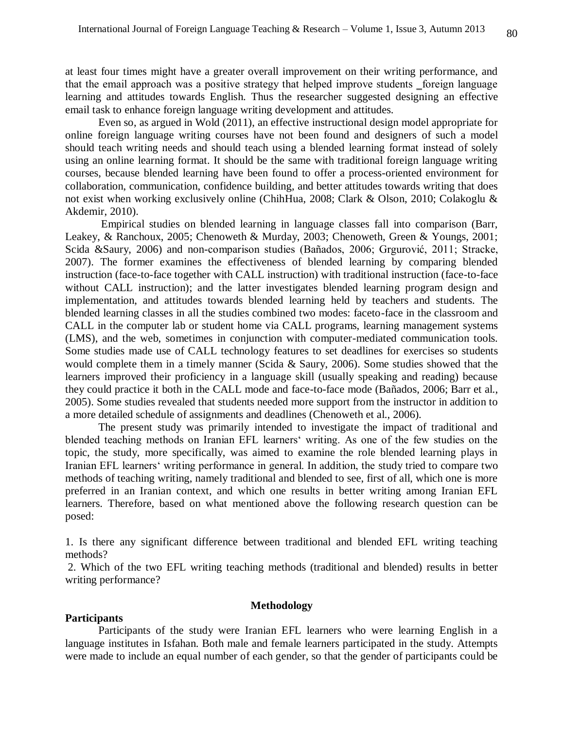at least four times might have a greater overall improvement on their writing performance, and that the email approach was a positive strategy that helped improve students foreign language learning and attitudes towards English. Thus the researcher suggested designing an effective email task to enhance foreign language writing development and attitudes.

Even so, as argued in Wold (2011), an effective instructional design model appropriate for online foreign language writing courses have not been found and designers of such a model should teach writing needs and should teach using a blended learning format instead of solely using an online learning format. It should be the same with traditional foreign language writing courses, because blended learning have been found to offer a process-oriented environment for collaboration, communication, confidence building, and better attitudes towards writing that does not exist when working exclusively online (ChihHua, 2008; Clark & Olson, 2010; Colakoglu & Akdemir, 2010).

Empirical studies on blended learning in language classes fall into comparison (Barr, Leakey, & Ranchoux, 2005; Chenoweth & Murday, 2003; Chenoweth, Green & Youngs, 2001; Scida &Saury, 2006) and non-comparison studies (Bañados, 2006; Grgurović, 2011; Stracke, 2007). The former examines the effectiveness of blended learning by comparing blended instruction (face-to-face together with CALL instruction) with traditional instruction (face-to-face without CALL instruction); and the latter investigates blended learning program design and implementation, and attitudes towards blended learning held by teachers and students. The blended learning classes in all the studies combined two modes: faceto-face in the classroom and CALL in the computer lab or student home via CALL programs, learning management systems (LMS), and the web, sometimes in conjunction with computer-mediated communication tools. Some studies made use of CALL technology features to set deadlines for exercises so students would complete them in a timely manner (Scida & Saury, 2006). Some studies showed that the learners improved their proficiency in a language skill (usually speaking and reading) because they could practice it both in the CALL mode and face-to-face mode (Bañados, 2006; Barr et al., 2005). Some studies revealed that students needed more support from the instructor in addition to a more detailed schedule of assignments and deadlines (Chenoweth et al., 2006).

The present study was primarily intended to investigate the impact of traditional and blended teaching methods on Iranian EFL learners' writing. As one of the few studies on the topic, the study, more specifically, was aimed to examine the role blended learning plays in Iranian EFL learners' writing performance in general. In addition, the study tried to compare two methods of teaching writing, namely traditional and blended to see, first of all, which one is more preferred in an Iranian context, and which one results in better writing among Iranian EFL learners. Therefore, based on what mentioned above the following research question can be posed:

1. Is there any significant difference between traditional and blended EFL writing teaching methods?

2. Which of the two EFL writing teaching methods (traditional and blended) results in better writing performance?

## **Methodology**

#### **Participants**

Participants of the study were Iranian EFL learners who were learning English in a language institutes in Isfahan. Both male and female learners participated in the study. Attempts were made to include an equal number of each gender, so that the gender of participants could be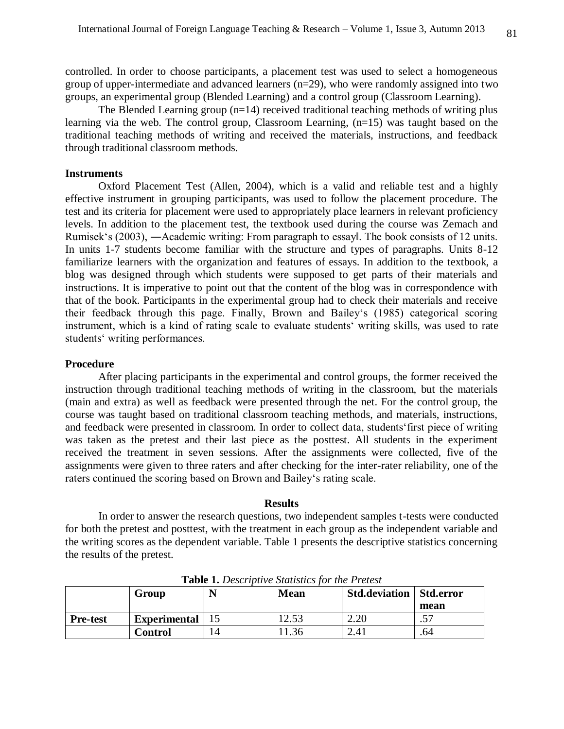controlled. In order to choose participants, a placement test was used to select a homogeneous group of upper-intermediate and advanced learners (n=29), who were randomly assigned into two groups, an experimental group (Blended Learning) and a control group (Classroom Learning).

The Blended Learning group  $(n=14)$  received traditional teaching methods of writing plus learning via the web. The control group, Classroom Learning, (n=15) was taught based on the traditional teaching methods of writing and received the materials, instructions, and feedback through traditional classroom methods.

## **Instruments**

Oxford Placement Test (Allen, 2004), which is a valid and reliable test and a highly effective instrument in grouping participants, was used to follow the placement procedure. The test and its criteria for placement were used to appropriately place learners in relevant proficiency levels. In addition to the placement test, the textbook used during the course was Zemach and Rumisek's (2003), ―Academic writing: From paragraph to essay‖. The book consists of 12 units. In units 1-7 students become familiar with the structure and types of paragraphs. Units 8-12 familiarize learners with the organization and features of essays. In addition to the textbook, a blog was designed through which students were supposed to get parts of their materials and instructions. It is imperative to point out that the content of the blog was in correspondence with that of the book. Participants in the experimental group had to check their materials and receive their feedback through this page. Finally, Brown and Bailey's (1985) categorical scoring instrument, which is a kind of rating scale to evaluate students' writing skills, was used to rate students' writing performances.

## **Procedure**

After placing participants in the experimental and control groups, the former received the instruction through traditional teaching methods of writing in the classroom, but the materials (main and extra) as well as feedback were presented through the net. For the control group, the course was taught based on traditional classroom teaching methods, and materials, instructions, and feedback were presented in classroom. In order to collect data, students'first piece of writing was taken as the pretest and their last piece as the posttest. All students in the experiment received the treatment in seven sessions. After the assignments were collected, five of the assignments were given to three raters and after checking for the inter-rater reliability, one of the raters continued the scoring based on Brown and Bailey's rating scale.

#### **Results**

In order to answer the research questions, two independent samples t-tests were conducted for both the pretest and posttest, with the treatment in each group as the independent variable and the writing scores as the dependent variable. Table 1 presents the descriptive statistics concerning the results of the pretest.

|                 | Group               |    | <b>Mean</b> | <b>Std.deviation   Std.error</b> |               |  |
|-----------------|---------------------|----|-------------|----------------------------------|---------------|--|
|                 |                     |    |             |                                  | mean          |  |
| <b>Pre-test</b> | <b>Experimental</b> |    | 2.53        | 2.20                             | 57<br>$\cdot$ |  |
|                 | <b>Control</b>      | 14 | .36         | 2.41                             | .64           |  |

**Table 1.** *Descriptive Statistics for the Pretest*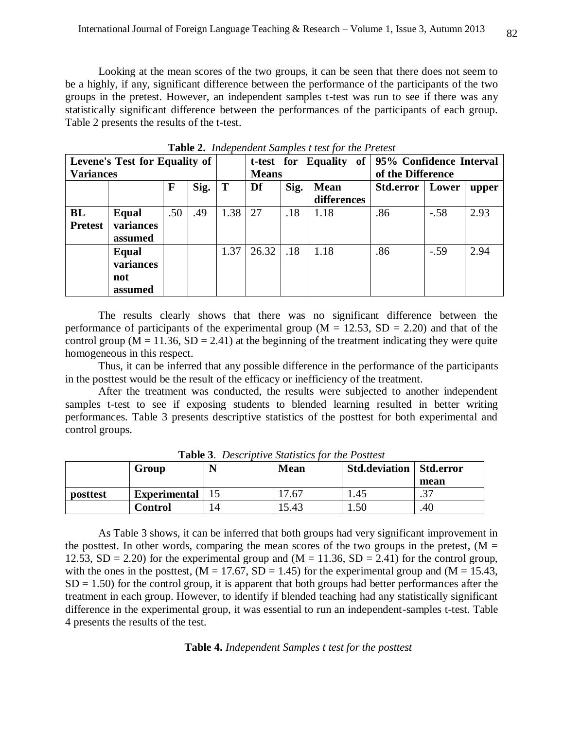Looking at the mean scores of the two groups, it can be seen that there does not seem to be a highly, if any, significant difference between the performance of the participants of the two groups in the pretest. However, an independent samples t-test was run to see if there was any statistically significant difference between the performances of the participants of each group. Table 2 presents the results of the t-test.

| Levene's Test for Equality of |           |             |      | t-test for Equality of |       |      | 95% Confidence Interval |                  |        |       |
|-------------------------------|-----------|-------------|------|------------------------|-------|------|-------------------------|------------------|--------|-------|
| <b>Variances</b>              |           |             |      | <b>Means</b>           |       |      | of the Difference       |                  |        |       |
|                               |           | $\mathbf F$ | Sig. | T                      | Df    | Sig. | <b>Mean</b>             | <b>Std.error</b> | Lower  | upper |
|                               |           |             |      |                        |       |      | differences             |                  |        |       |
| BL                            | Equal     | .50         | .49  | 1.38                   | 27    | .18  | 1.18                    | .86              | $-.58$ | 2.93  |
| <b>Pretest</b>                | variances |             |      |                        |       |      |                         |                  |        |       |
|                               | assumed   |             |      |                        |       |      |                         |                  |        |       |
|                               | Equal     |             |      | 1.37                   | 26.32 | .18  | 1.18                    | .86              | $-.59$ | 2.94  |
|                               | variances |             |      |                        |       |      |                         |                  |        |       |
|                               | not       |             |      |                        |       |      |                         |                  |        |       |
|                               | assumed   |             |      |                        |       |      |                         |                  |        |       |

**Table 2.** *Independent Samples t test for the Pretest*

The results clearly shows that there was no significant difference between the performance of participants of the experimental group ( $M = 12.53$ ,  $SD = 2.20$ ) and that of the control group ( $M = 11.36$ ,  $SD = 2.41$ ) at the beginning of the treatment indicating they were quite homogeneous in this respect.

Thus, it can be inferred that any possible difference in the performance of the participants in the posttest would be the result of the efficacy or inefficiency of the treatment.

After the treatment was conducted, the results were subjected to another independent samples t-test to see if exposing students to blended learning resulted in better writing performances. Table 3 presents descriptive statistics of the posttest for both experimental and control groups.

|          | Group               |  | <b>Mean</b> | <b>Std.deviation   Std.error</b> |                 |  |  |  |  |
|----------|---------------------|--|-------------|----------------------------------|-----------------|--|--|--|--|
|          |                     |  |             |                                  | mean            |  |  |  |  |
| posttest | <b>Experimental</b> |  | 7.67        | 1.45                             | $\gamma$<br>. ٹ |  |  |  |  |
|          | Control             |  | 5.43        | 1.50                             | .40             |  |  |  |  |

**Table 3**. *Descriptive Statistics for the Posttest*

As Table 3 shows, it can be inferred that both groups had very significant improvement in the posttest. In other words, comparing the mean scores of the two groups in the pretest,  $(M =$ 12.53,  $SD = 2.20$ ) for the experimental group and (M = 11.36,  $SD = 2.41$ ) for the control group, with the ones in the posttest,  $(M = 17.67, SD = 1.45)$  for the experimental group and  $(M = 15.43,$  $SD = 1.50$ ) for the control group, it is apparent that both groups had better performances after the treatment in each group. However, to identify if blended teaching had any statistically significant difference in the experimental group, it was essential to run an independent-samples t-test. Table 4 presents the results of the test.

## **Table 4.** *Independent Samples t test for the posttest*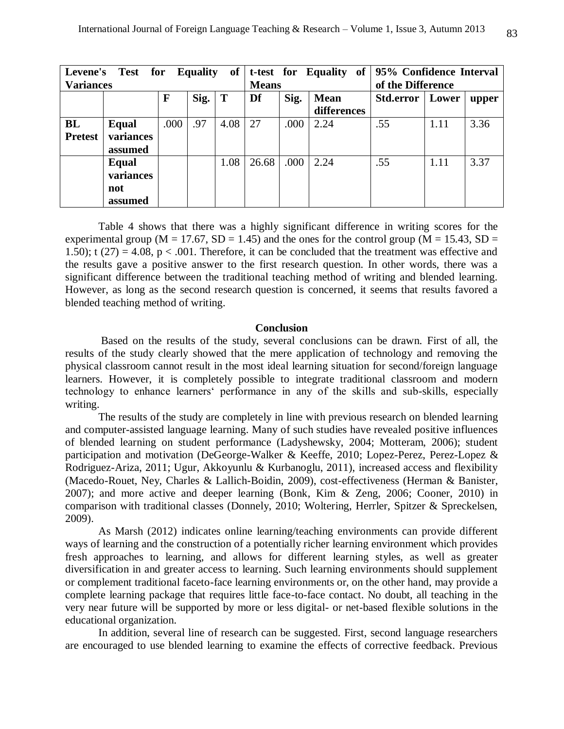| of<br><b>Test for Equality</b><br><b>Levene's</b> |              |      |      |              |       | t-test for Equality of | 95% Confidence Interval |           |       |       |
|---------------------------------------------------|--------------|------|------|--------------|-------|------------------------|-------------------------|-----------|-------|-------|
| <b>Variances</b>                                  |              |      |      | <b>Means</b> |       |                        | of the Difference       |           |       |       |
|                                                   |              | F    | Sig. | T            | Df    | Sig.                   | <b>Mean</b>             | Std.error | Lower | upper |
|                                                   |              |      |      |              |       |                        | differences             |           |       |       |
| BL                                                | <b>Equal</b> | .000 | .97  | 4.08         | 27    | .000                   | 2.24                    | .55       | 1.11  | 3.36  |
| <b>Pretest</b>                                    | variances    |      |      |              |       |                        |                         |           |       |       |
|                                                   | assumed      |      |      |              |       |                        |                         |           |       |       |
|                                                   | Equal        |      |      | 1.08         | 26.68 | .000 <sub>1</sub>      | 2.24                    | .55       | 1.11  | 3.37  |
|                                                   | variances    |      |      |              |       |                        |                         |           |       |       |
|                                                   | not          |      |      |              |       |                        |                         |           |       |       |
|                                                   | assumed      |      |      |              |       |                        |                         |           |       |       |

Table 4 shows that there was a highly significant difference in writing scores for the experimental group ( $M = 17.67$ ,  $SD = 1.45$ ) and the ones for the control group ( $M = 15.43$ ,  $SD =$ 1.50); t (27) = 4.08,  $p < .001$ . Therefore, it can be concluded that the treatment was effective and the results gave a positive answer to the first research question. In other words, there was a significant difference between the traditional teaching method of writing and blended learning. However, as long as the second research question is concerned, it seems that results favored a blended teaching method of writing.

## **Conclusion**

Based on the results of the study, several conclusions can be drawn. First of all, the results of the study clearly showed that the mere application of technology and removing the physical classroom cannot result in the most ideal learning situation for second/foreign language learners. However, it is completely possible to integrate traditional classroom and modern technology to enhance learners' performance in any of the skills and sub-skills, especially writing.

The results of the study are completely in line with previous research on blended learning and computer-assisted language learning. Many of such studies have revealed positive influences of blended learning on student performance (Ladyshewsky, 2004; Motteram, 2006); student participation and motivation (DeGeorge-Walker & Keeffe, 2010; Lopez-Perez, Perez-Lopez & Rodriguez-Ariza, 2011; Ugur, Akkoyunlu & Kurbanoglu, 2011), increased access and flexibility (Macedo-Rouet, Ney, Charles & Lallich-Boidin, 2009), cost-effectiveness (Herman & Banister, 2007); and more active and deeper learning (Bonk, Kim & Zeng, 2006; Cooner, 2010) in comparison with traditional classes (Donnely, 2010; Woltering, Herrler, Spitzer & Spreckelsen, 2009).

As Marsh (2012) indicates online learning/teaching environments can provide different ways of learning and the construction of a potentially richer learning environment which provides fresh approaches to learning, and allows for different learning styles, as well as greater diversification in and greater access to learning. Such learning environments should supplement or complement traditional faceto-face learning environments or, on the other hand, may provide a complete learning package that requires little face-to-face contact. No doubt, all teaching in the very near future will be supported by more or less digital- or net-based flexible solutions in the educational organization.

In addition, several line of research can be suggested. First, second language researchers are encouraged to use blended learning to examine the effects of corrective feedback. Previous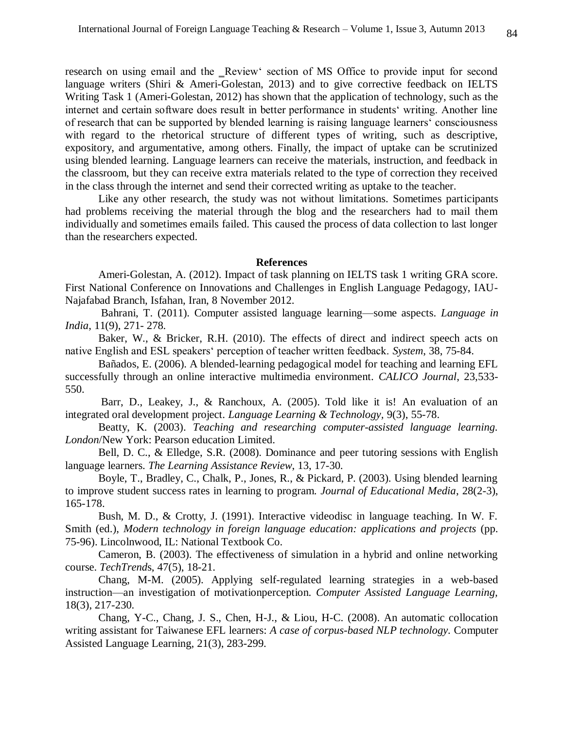research on using email and the Review' section of MS Office to provide input for second language writers (Shiri & Ameri-Golestan, 2013) and to give corrective feedback on IELTS Writing Task 1 (Ameri-Golestan, 2012) has shown that the application of technology, such as the internet and certain software does result in better performance in students' writing. Another line of research that can be supported by blended learning is raising language learners' consciousness with regard to the rhetorical structure of different types of writing, such as descriptive, expository, and argumentative, among others. Finally, the impact of uptake can be scrutinized using blended learning. Language learners can receive the materials, instruction, and feedback in the classroom, but they can receive extra materials related to the type of correction they received in the class through the internet and send their corrected writing as uptake to the teacher.

Like any other research, the study was not without limitations. Sometimes participants had problems receiving the material through the blog and the researchers had to mail them individually and sometimes emails failed. This caused the process of data collection to last longer than the researchers expected.

#### **References**

Ameri-Golestan, A. (2012). Impact of task planning on IELTS task 1 writing GRA score. First National Conference on Innovations and Challenges in English Language Pedagogy, IAU-Najafabad Branch, Isfahan, Iran, 8 November 2012.

Bahrani, T. (2011). Computer assisted language learning—some aspects. *Language in India*, 11(9), 271- 278.

Baker, W., & Bricker, R.H. (2010). The effects of direct and indirect speech acts on native English and ESL speakers' perception of teacher written feedback. *System*, 38, 75-84.

Bañados, E. (2006). A blended-learning pedagogical model for teaching and learning EFL successfully through an online interactive multimedia environment. *CALICO Journal*, 23,533- 550.

Barr, D., Leakey, J., & Ranchoux, A. (2005). Told like it is! An evaluation of an integrated oral development project. *Language Learning & Technology,* 9(3), 55-78.

Beatty, K. (2003). *Teaching and researching computer-assisted language learning. London*/New York: Pearson education Limited.

Bell, D. C., & Elledge, S.R. (2008). Dominance and peer tutoring sessions with English language learners. *The Learning Assistance Review*, 13, 17-30.

Boyle, T., Bradley, C., Chalk, P., Jones, R., & Pickard, P. (2003). Using blended learning to improve student success rates in learning to program. *Journal of Educational Media*, 28(2-3), 165-178.

Bush, M. D., & Crotty, J. (1991). Interactive videodisc in language teaching. In W. F. Smith (ed.), *Modern technology in foreign language education: applications and projects* (pp. 75-96). Lincolnwood, IL: National Textbook Co.

Cameron, B. (2003). The effectiveness of simulation in a hybrid and online networking course. *TechTrend*s, 47(5), 18-21.

Chang, M-M. (2005). Applying self-regulated learning strategies in a web-based instruction—an investigation of motivationperception. *Computer Assisted Language Learning,* 18(3), 217-230.

Chang, Y-C., Chang, J. S., Chen, H-J., & Liou, H-C. (2008). An automatic collocation writing assistant for Taiwanese EFL learners: *A case of corpus-based NLP technology.* Computer Assisted Language Learning, 21(3), 283-299.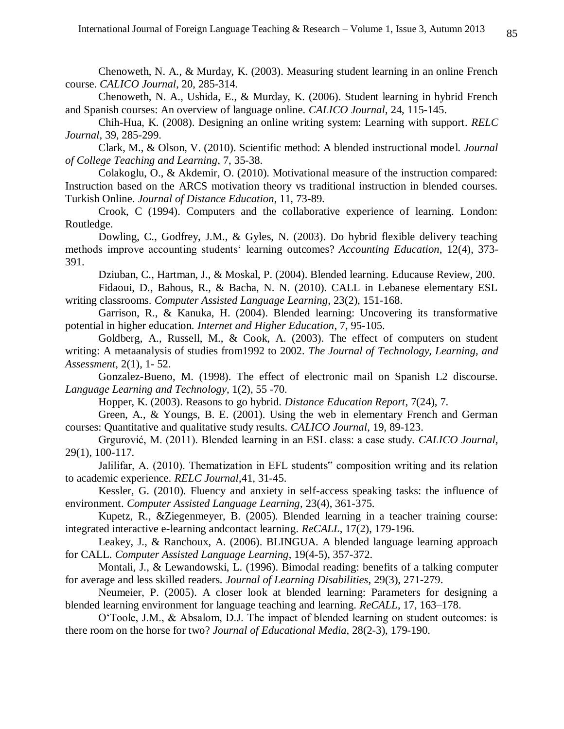Chenoweth, N. A., & Murday, K. (2003). Measuring student learning in an online French course. *CALICO Journal*, 20, 285-314.

Chenoweth, N. A., Ushida, E., & Murday, K. (2006). Student learning in hybrid French and Spanish courses: An overview of language online. *CALICO Journal*, 24, 115-145.

Chih-Hua, K. (2008). Designing an online writing system: Learning with support*. RELC Journal*, 39, 285-299.

Clark, M., & Olson, V. (2010). Scientific method: A blended instructional model. *Journal of College Teaching and Learning*, 7, 35-38.

Colakoglu, O., & Akdemir, O. (2010). Motivational measure of the instruction compared: Instruction based on the ARCS motivation theory vs traditional instruction in blended courses. Turkish Online. *Journal of Distance Education*, 11, 73-89.

Crook, C (1994). Computers and the collaborative experience of learning. London: Routledge.

Dowling, C., Godfrey, J.M., & Gyles, N. (2003). Do hybrid flexible delivery teaching methods improve accounting students' learning outcomes? *Accounting Education*, 12(4), 373- 391.

Dziuban, C., Hartman, J., & Moskal, P. (2004). Blended learning. Educause Review, 200.

Fidaoui, D., Bahous, R., & Bacha, N. N. (2010). CALL in Lebanese elementary ESL writing classrooms. *Computer Assisted Language Learning*, 23(2), 151-168.

Garrison, R., & Kanuka, H. (2004). Blended learning: Uncovering its transformative potential in higher education. *Internet and Higher Education*, 7, 95-105.

Goldberg, A., Russell, M., & Cook, A. (2003). The effect of computers on student writing: A metaanalysis of studies from1992 to 2002. *The Journal of Technology, Learning, and Assessment*, 2(1), 1- 52.

Gonzalez-Bueno, M. (1998). The effect of electronic mail on Spanish L2 discourse. *Language Learning and Technology*, 1(2), 55 -70.

Hopper, K. (2003). Reasons to go hybrid. *Distance Education Report*, 7(24), 7.

Green, A., & Youngs, B. E. (2001). Using the web in elementary French and German courses: Quantitative and qualitative study results. *CALICO Journal*, 19, 89-123.

Grgurović, M. (2011). Blended learning in an ESL class: a case study. *CALICO Journal,*  29(1), 100-117.

Jalilifar, A. (2010). Thematization in EFL students" composition writing and its relation to academic experience. *RELC Journal*,41, 31-45.

Kessler, G. (2010). Fluency and anxiety in self-access speaking tasks: the influence of environment. *Computer Assisted Language Learning*, 23(4), 361-375.

Kupetz, R., &Ziegenmeyer, B. (2005). Blended learning in a teacher training course: integrated interactive e-learning andcontact learning. *ReCALL*, 17(2), 179-196.

Leakey, J., & Ranchoux, A. (2006). BLINGUA. A blended language learning approach for CALL. *Computer Assisted Language Learning*, 19(4-5), 357-372.

Montali, J., & Lewandowski, L. (1996). Bimodal reading: benefits of a talking computer for average and less skilled readers*. Journal of Learning Disabilities*, 29(3), 271-279.

Neumeier, P. (2005). A closer look at blended learning: Parameters for designing a blended learning environment for language teaching and learning. *ReCALL*, 17, 163–178.

O'Toole, J.M., & Absalom, D.J. The impact of blended learning on student outcomes: is there room on the horse for two? *Journal of Educational Media*, 28(2-3), 179-190.